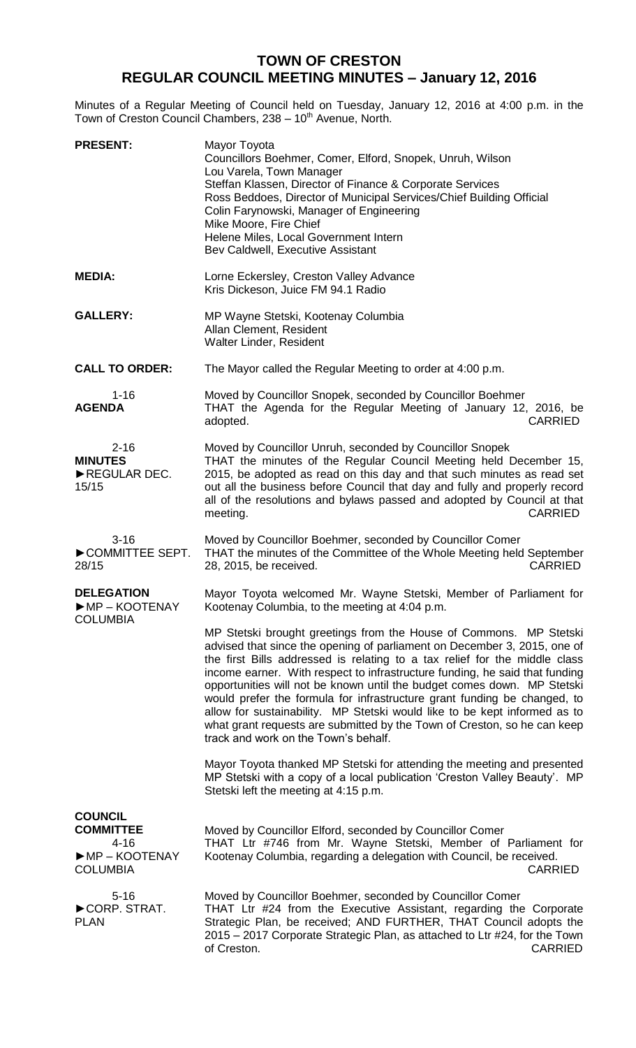## **TOWN OF CRESTON REGULAR COUNCIL MEETING MINUTES – January 12, 2016**

Minutes of a Regular Meeting of Council held on Tuesday, January 12, 2016 at 4:00 p.m. in the Town of Creston Council Chambers, 238 - 10<sup>th</sup> Avenue, North.

| <b>PRESENT:</b>                                                                                          | Mayor Toyota<br>Councillors Boehmer, Comer, Elford, Snopek, Unruh, Wilson<br>Lou Varela, Town Manager<br>Steffan Klassen, Director of Finance & Corporate Services<br>Ross Beddoes, Director of Municipal Services/Chief Building Official<br>Colin Farynowski, Manager of Engineering<br>Mike Moore, Fire Chief<br>Helene Miles, Local Government Intern<br>Bev Caldwell, Executive Assistant                                                                                                                                                                                                                                                                      |
|----------------------------------------------------------------------------------------------------------|---------------------------------------------------------------------------------------------------------------------------------------------------------------------------------------------------------------------------------------------------------------------------------------------------------------------------------------------------------------------------------------------------------------------------------------------------------------------------------------------------------------------------------------------------------------------------------------------------------------------------------------------------------------------|
| <b>MEDIA:</b>                                                                                            | Lorne Eckersley, Creston Valley Advance<br>Kris Dickeson, Juice FM 94.1 Radio                                                                                                                                                                                                                                                                                                                                                                                                                                                                                                                                                                                       |
| <b>GALLERY:</b>                                                                                          | MP Wayne Stetski, Kootenay Columbia<br>Allan Clement, Resident<br>Walter Linder, Resident                                                                                                                                                                                                                                                                                                                                                                                                                                                                                                                                                                           |
| <b>CALL TO ORDER:</b>                                                                                    | The Mayor called the Regular Meeting to order at 4:00 p.m.                                                                                                                                                                                                                                                                                                                                                                                                                                                                                                                                                                                                          |
| $1 - 16$<br><b>AGENDA</b>                                                                                | Moved by Councillor Snopek, seconded by Councillor Boehmer<br>THAT the Agenda for the Regular Meeting of January 12, 2016, be<br>adopted.<br><b>CARRIED</b>                                                                                                                                                                                                                                                                                                                                                                                                                                                                                                         |
| $2 - 16$<br><b>MINUTES</b><br>REGULAR DEC.<br>15/15                                                      | Moved by Councillor Unruh, seconded by Councillor Snopek<br>THAT the minutes of the Regular Council Meeting held December 15,<br>2015, be adopted as read on this day and that such minutes as read set<br>out all the business before Council that day and fully and properly record<br>all of the resolutions and bylaws passed and adopted by Council at that<br><b>CARRIED</b><br>meeting.                                                                                                                                                                                                                                                                      |
| $3 - 16$<br>COMMITTEE SEPT.<br>28/15                                                                     | Moved by Councillor Boehmer, seconded by Councillor Comer<br>THAT the minutes of the Committee of the Whole Meeting held September<br><b>CARRIED</b><br>28, 2015, be received.                                                                                                                                                                                                                                                                                                                                                                                                                                                                                      |
| <b>DELEGATION</b><br>MP-KOOTENAY<br><b>COLUMBIA</b>                                                      | Mayor Toyota welcomed Mr. Wayne Stetski, Member of Parliament for<br>Kootenay Columbia, to the meeting at 4:04 p.m.                                                                                                                                                                                                                                                                                                                                                                                                                                                                                                                                                 |
|                                                                                                          | MP Stetski brought greetings from the House of Commons. MP Stetski<br>advised that since the opening of parliament on December 3, 2015, one of<br>the first Bills addressed is relating to a tax relief for the middle class<br>income earner. With respect to infrastructure funding, he said that funding<br>opportunities will not be known until the budget comes down. MP Stetski<br>would prefer the formula for infrastructure grant funding be changed, to<br>allow for sustainability. MP Stetski would like to be kept informed as to<br>what grant requests are submitted by the Town of Creston, so he can keep<br>track and work on the Town's behalf. |
|                                                                                                          | Mayor Toyota thanked MP Stetski for attending the meeting and presented<br>MP Stetski with a copy of a local publication 'Creston Valley Beauty'. MP<br>Stetski left the meeting at 4:15 p.m.                                                                                                                                                                                                                                                                                                                                                                                                                                                                       |
| <b>COUNCIL</b><br><b>COMMITTEE</b><br>$4 - 16$<br>$\blacktriangleright$ MP – KOOTENAY<br><b>COLUMBIA</b> | Moved by Councillor Elford, seconded by Councillor Comer<br>THAT Ltr #746 from Mr. Wayne Stetski, Member of Parliament for<br>Kootenay Columbia, regarding a delegation with Council, be received.<br><b>CARRIED</b>                                                                                                                                                                                                                                                                                                                                                                                                                                                |
| $5 - 16$<br>CORP. STRAT.<br><b>PLAN</b>                                                                  | Moved by Councillor Boehmer, seconded by Councillor Comer<br>THAT Ltr #24 from the Executive Assistant, regarding the Corporate<br>Strategic Plan, be received; AND FURTHER, THAT Council adopts the<br>2015 – 2017 Corporate Strategic Plan, as attached to Ltr #24, for the Town<br>of Creston.<br><b>CARRIED</b>                                                                                                                                                                                                                                                                                                                                                 |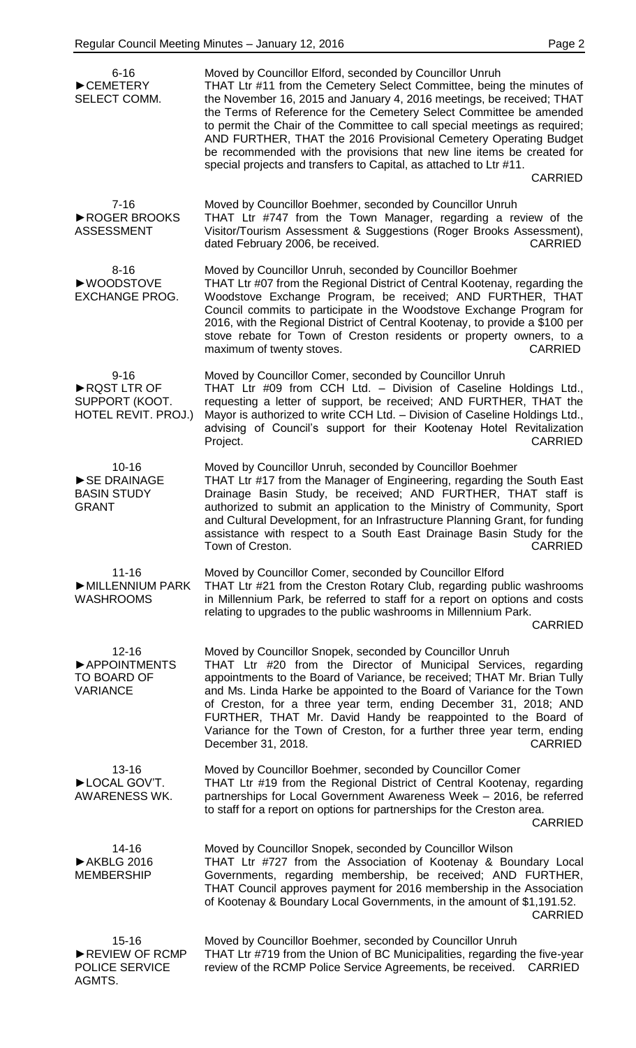| $6 - 16$<br>CEMETERY<br>SELECT COMM.                             | Moved by Councillor Elford, seconded by Councillor Unruh<br>THAT Ltr #11 from the Cemetery Select Committee, being the minutes of<br>the November 16, 2015 and January 4, 2016 meetings, be received; THAT<br>the Terms of Reference for the Cemetery Select Committee be amended<br>to permit the Chair of the Committee to call special meetings as required;<br>AND FURTHER, THAT the 2016 Provisional Cemetery Operating Budget<br>be recommended with the provisions that new line items be created for<br>special projects and transfers to Capital, as attached to Ltr #11. |
|------------------------------------------------------------------|------------------------------------------------------------------------------------------------------------------------------------------------------------------------------------------------------------------------------------------------------------------------------------------------------------------------------------------------------------------------------------------------------------------------------------------------------------------------------------------------------------------------------------------------------------------------------------|
|                                                                  | <b>CARRIED</b>                                                                                                                                                                                                                                                                                                                                                                                                                                                                                                                                                                     |
| $7 - 16$<br>▶ ROGER BROOKS<br><b>ASSESSMENT</b>                  | Moved by Councillor Boehmer, seconded by Councillor Unruh<br>THAT Ltr #747 from the Town Manager, regarding a review of the<br>Visitor/Tourism Assessment & Suggestions (Roger Brooks Assessment),<br>dated February 2006, be received.<br><b>CARRIED</b>                                                                                                                                                                                                                                                                                                                          |
| $8 - 16$<br>▶WOODSTOVE<br><b>EXCHANGE PROG.</b>                  | Moved by Councillor Unruh, seconded by Councillor Boehmer<br>THAT Ltr #07 from the Regional District of Central Kootenay, regarding the<br>Woodstove Exchange Program, be received; AND FURTHER, THAT<br>Council commits to participate in the Woodstove Exchange Program for<br>2016, with the Regional District of Central Kootenay, to provide a \$100 per<br>stove rebate for Town of Creston residents or property owners, to a<br><b>CARRIED</b><br>maximum of twenty stoves.                                                                                                |
| $9 - 16$<br>RQST LTR OF<br>SUPPORT (KOOT.<br>HOTEL REVIT. PROJ.) | Moved by Councillor Comer, seconded by Councillor Unruh<br>THAT Ltr #09 from CCH Ltd. - Division of Caseline Holdings Ltd.,<br>requesting a letter of support, be received; AND FURTHER, THAT the<br>Mayor is authorized to write CCH Ltd. - Division of Caseline Holdings Ltd.,<br>advising of Council's support for their Kootenay Hotel Revitalization<br>Project.<br><b>CARRIED</b>                                                                                                                                                                                            |
| $10 - 16$<br>SE DRAINAGE<br><b>BASIN STUDY</b><br><b>GRANT</b>   | Moved by Councillor Unruh, seconded by Councillor Boehmer<br>THAT Ltr #17 from the Manager of Engineering, regarding the South East<br>Drainage Basin Study, be received; AND FURTHER, THAT staff is<br>authorized to submit an application to the Ministry of Community, Sport<br>and Cultural Development, for an Infrastructure Planning Grant, for funding<br>assistance with respect to a South East Drainage Basin Study for the<br>Town of Creston.<br><b>CARRIED</b>                                                                                                       |
| $11 - 16$<br>MILLENNIUM PARK<br><b>WASHROOMS</b>                 | Moved by Councillor Comer, seconded by Councillor Elford<br>THAT Ltr #21 from the Creston Rotary Club, regarding public washrooms<br>in Millennium Park, be referred to staff for a report on options and costs<br>relating to upgrades to the public washrooms in Millennium Park.<br><b>CARRIED</b>                                                                                                                                                                                                                                                                              |
| $12 - 16$<br>APPOINTMENTS<br>TO BOARD OF<br><b>VARIANCE</b>      | Moved by Councillor Snopek, seconded by Councillor Unruh<br>THAT Ltr #20 from the Director of Municipal Services, regarding<br>appointments to the Board of Variance, be received; THAT Mr. Brian Tully<br>and Ms. Linda Harke be appointed to the Board of Variance for the Town<br>of Creston, for a three year term, ending December 31, 2018; AND<br>FURTHER, THAT Mr. David Handy be reappointed to the Board of<br>Variance for the Town of Creston, for a further three year term, ending<br><b>CARRIED</b><br>December 31, 2018.                                           |
| $13 - 16$<br>LOCAL GOV'T.<br>AWARENESS WK.                       | Moved by Councillor Boehmer, seconded by Councillor Comer<br>THAT Ltr #19 from the Regional District of Central Kootenay, regarding<br>partnerships for Local Government Awareness Week - 2016, be referred<br>to staff for a report on options for partnerships for the Creston area.<br><b>CARRIED</b>                                                                                                                                                                                                                                                                           |
| $14 - 16$<br>AKBLG 2016<br><b>MEMBERSHIP</b>                     | Moved by Councillor Snopek, seconded by Councillor Wilson<br>THAT Ltr #727 from the Association of Kootenay & Boundary Local<br>Governments, regarding membership, be received; AND FURTHER,<br>THAT Council approves payment for 2016 membership in the Association<br>of Kootenay & Boundary Local Governments, in the amount of \$1,191.52.<br><b>CARRIED</b>                                                                                                                                                                                                                   |
| $15 - 16$<br>REVIEW OF RCMP<br>POLICE SERVICE<br>AGMTS.          | Moved by Councillor Boehmer, seconded by Councillor Unruh<br>THAT Ltr #719 from the Union of BC Municipalities, regarding the five-year<br>review of the RCMP Police Service Agreements, be received.<br><b>CARRIED</b>                                                                                                                                                                                                                                                                                                                                                            |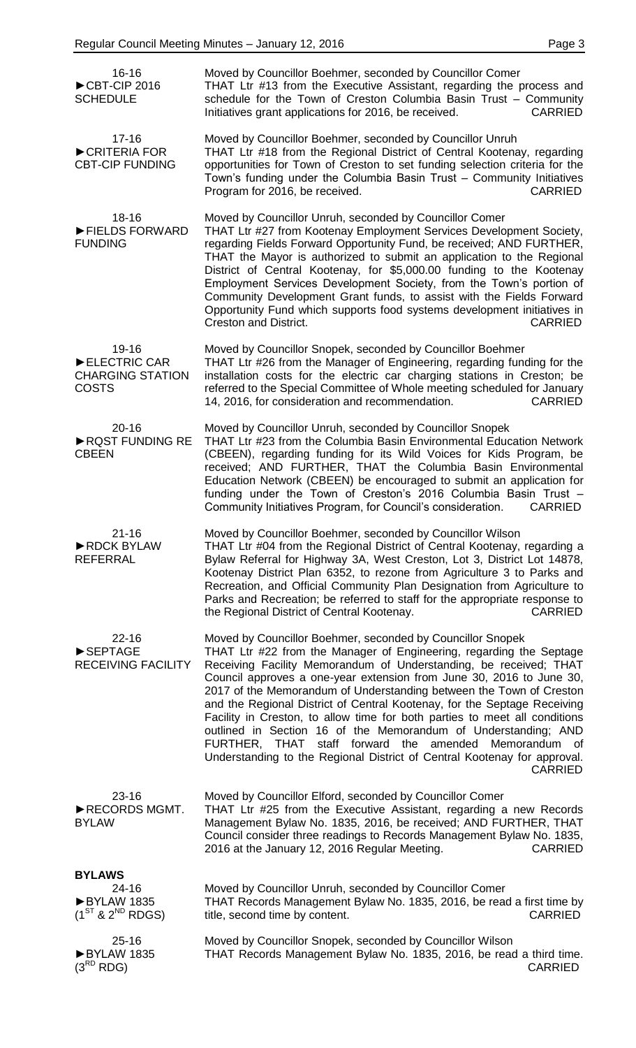| $16 - 16$<br>CBT-CIP 2016<br><b>SCHEDULE</b>                     | Moved by Councillor Boehmer, seconded by Councillor Comer<br>THAT Ltr #13 from the Executive Assistant, regarding the process and<br>schedule for the Town of Creston Columbia Basin Trust - Community<br>Initiatives grant applications for 2016, be received.<br><b>CARRIED</b>                                                                                                                                                                                                                                                                                                                                                                                                                                                        |
|------------------------------------------------------------------|------------------------------------------------------------------------------------------------------------------------------------------------------------------------------------------------------------------------------------------------------------------------------------------------------------------------------------------------------------------------------------------------------------------------------------------------------------------------------------------------------------------------------------------------------------------------------------------------------------------------------------------------------------------------------------------------------------------------------------------|
| $17 - 16$<br>CRITERIA FOR<br><b>CBT-CIP FUNDING</b>              | Moved by Councillor Boehmer, seconded by Councillor Unruh<br>THAT Ltr #18 from the Regional District of Central Kootenay, regarding<br>opportunities for Town of Creston to set funding selection criteria for the<br>Town's funding under the Columbia Basin Trust - Community Initiatives<br><b>CARRIED</b><br>Program for 2016, be received.                                                                                                                                                                                                                                                                                                                                                                                          |
| $18 - 16$<br>FIELDS FORWARD<br><b>FUNDING</b>                    | Moved by Councillor Unruh, seconded by Councillor Comer<br>THAT Ltr #27 from Kootenay Employment Services Development Society,<br>regarding Fields Forward Opportunity Fund, be received; AND FURTHER,<br>THAT the Mayor is authorized to submit an application to the Regional<br>District of Central Kootenay, for \$5,000.00 funding to the Kootenay<br>Employment Services Development Society, from the Town's portion of<br>Community Development Grant funds, to assist with the Fields Forward<br>Opportunity Fund which supports food systems development initiatives in<br><b>Creston and District.</b><br><b>CARRIED</b>                                                                                                      |
| 19-16<br>ELECTRIC CAR<br><b>CHARGING STATION</b><br><b>COSTS</b> | Moved by Councillor Snopek, seconded by Councillor Boehmer<br>THAT Ltr #26 from the Manager of Engineering, regarding funding for the<br>installation costs for the electric car charging stations in Creston; be<br>referred to the Special Committee of Whole meeting scheduled for January<br>14, 2016, for consideration and recommendation.<br><b>CARRIED</b>                                                                                                                                                                                                                                                                                                                                                                       |
| $20 - 16$<br>RQST FUNDING RE<br><b>CBEEN</b>                     | Moved by Councillor Unruh, seconded by Councillor Snopek<br>THAT Ltr #23 from the Columbia Basin Environmental Education Network<br>(CBEEN), regarding funding for its Wild Voices for Kids Program, be<br>received; AND FURTHER, THAT the Columbia Basin Environmental<br>Education Network (CBEEN) be encouraged to submit an application for<br>funding under the Town of Creston's 2016 Columbia Basin Trust -<br>Community Initiatives Program, for Council's consideration.<br><b>CARRIED</b>                                                                                                                                                                                                                                      |
| $21 - 16$<br>RDCK BYLAW<br><b>REFERRAL</b>                       | Moved by Councillor Boehmer, seconded by Councillor Wilson<br>THAT Ltr #04 from the Regional District of Central Kootenay, regarding a<br>Bylaw Referral for Highway 3A, West Creston, Lot 3, District Lot 14878,<br>Kootenay District Plan 6352, to rezone from Agriculture 3 to Parks and<br>Recreation, and Official Community Plan Designation from Agriculture to<br>Parks and Recreation; be referred to staff for the appropriate response to<br>the Regional District of Central Kootenay.<br><b>CARRIED</b>                                                                                                                                                                                                                     |
| $22 - 16$<br>SEPTAGE<br><b>RECEIVING FACILITY</b>                | Moved by Councillor Boehmer, seconded by Councillor Snopek<br>THAT Ltr #22 from the Manager of Engineering, regarding the Septage<br>Receiving Facility Memorandum of Understanding, be received; THAT<br>Council approves a one-year extension from June 30, 2016 to June 30,<br>2017 of the Memorandum of Understanding between the Town of Creston<br>and the Regional District of Central Kootenay, for the Septage Receiving<br>Facility in Creston, to allow time for both parties to meet all conditions<br>outlined in Section 16 of the Memorandum of Understanding; AND<br>FURTHER, THAT staff forward the amended Memorandum of<br>Understanding to the Regional District of Central Kootenay for approval.<br><b>CARRIED</b> |
| $23 - 16$<br>RECORDS MGMT.<br><b>BYLAW</b>                       | Moved by Councillor Elford, seconded by Councillor Comer<br>THAT Ltr #25 from the Executive Assistant, regarding a new Records<br>Management Bylaw No. 1835, 2016, be received; AND FURTHER, THAT<br>Council consider three readings to Records Management Bylaw No. 1835,<br>2016 at the January 12, 2016 Regular Meeting.<br><b>CARRIED</b>                                                                                                                                                                                                                                                                                                                                                                                            |
| <b>BYLAWS</b>                                                    |                                                                                                                                                                                                                                                                                                                                                                                                                                                                                                                                                                                                                                                                                                                                          |
| 24-16<br>BYLAW 1835<br>$(1^{ST}$ & $2^{ND}$ RDGS)                | Moved by Councillor Unruh, seconded by Councillor Comer<br>THAT Records Management Bylaw No. 1835, 2016, be read a first time by<br>title, second time by content.<br><b>CARRIED</b>                                                                                                                                                                                                                                                                                                                                                                                                                                                                                                                                                     |
| $25 - 16$<br>BYLAW 1835<br>$(3^{RD}$ RDG)                        | Moved by Councillor Snopek, seconded by Councillor Wilson<br>THAT Records Management Bylaw No. 1835, 2016, be read a third time.<br><b>CARRIED</b>                                                                                                                                                                                                                                                                                                                                                                                                                                                                                                                                                                                       |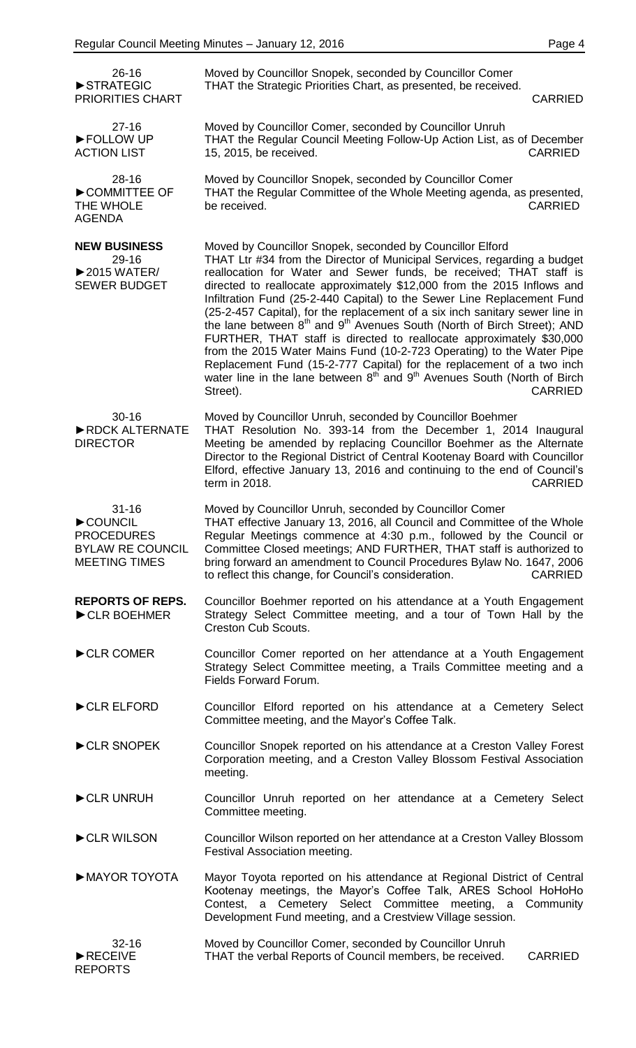| $26 - 16$<br>STRATEGIC<br>PRIORITIES CHART                                                   | Moved by Councillor Snopek, seconded by Councillor Comer<br>THAT the Strategic Priorities Chart, as presented, be received.<br><b>CARRIED</b>                                                                                                                                                                                                                                                                                                                                                                                                                                                                                                                                                                                                                                                                                                                                                                    |
|----------------------------------------------------------------------------------------------|------------------------------------------------------------------------------------------------------------------------------------------------------------------------------------------------------------------------------------------------------------------------------------------------------------------------------------------------------------------------------------------------------------------------------------------------------------------------------------------------------------------------------------------------------------------------------------------------------------------------------------------------------------------------------------------------------------------------------------------------------------------------------------------------------------------------------------------------------------------------------------------------------------------|
| $27 - 16$<br>FOLLOW UP<br><b>ACTION LIST</b>                                                 | Moved by Councillor Comer, seconded by Councillor Unruh<br>THAT the Regular Council Meeting Follow-Up Action List, as of December<br>15, 2015, be received.<br><b>CARRIED</b>                                                                                                                                                                                                                                                                                                                                                                                                                                                                                                                                                                                                                                                                                                                                    |
| 28-16<br>COMMITTEE OF<br>THE WHOLE<br><b>AGENDA</b>                                          | Moved by Councillor Snopek, seconded by Councillor Comer<br>THAT the Regular Committee of the Whole Meeting agenda, as presented,<br>be received.<br><b>CARRIED</b>                                                                                                                                                                                                                                                                                                                                                                                                                                                                                                                                                                                                                                                                                                                                              |
| <b>NEW BUSINESS</b><br>29-16<br>$\triangleright$ 2015 WATER/<br><b>SEWER BUDGET</b>          | Moved by Councillor Snopek, seconded by Councillor Elford<br>THAT Ltr #34 from the Director of Municipal Services, regarding a budget<br>reallocation for Water and Sewer funds, be received; THAT staff is<br>directed to reallocate approximately \$12,000 from the 2015 Inflows and<br>Infiltration Fund (25-2-440 Capital) to the Sewer Line Replacement Fund<br>(25-2-457 Capital), for the replacement of a six inch sanitary sewer line in<br>the lane between 8 <sup>th</sup> and 9 <sup>th</sup> Avenues South (North of Birch Street); AND<br>FURTHER, THAT staff is directed to reallocate approximately \$30,000<br>from the 2015 Water Mains Fund (10-2-723 Operating) to the Water Pipe<br>Replacement Fund (15-2-777 Capital) for the replacement of a two inch<br>water line in the lane between 8 <sup>th</sup> and 9 <sup>th</sup> Avenues South (North of Birch<br><b>CARRIED</b><br>Street). |
| $30 - 16$<br>RDCK ALTERNATE<br><b>DIRECTOR</b>                                               | Moved by Councillor Unruh, seconded by Councillor Boehmer<br>THAT Resolution No. 393-14 from the December 1, 2014 Inaugural<br>Meeting be amended by replacing Councillor Boehmer as the Alternate<br>Director to the Regional District of Central Kootenay Board with Councillor<br>Elford, effective January 13, 2016 and continuing to the end of Council's<br>term in 2018.<br><b>CARRIED</b>                                                                                                                                                                                                                                                                                                                                                                                                                                                                                                                |
| $31 - 16$<br>COUNCIL<br><b>PROCEDURES</b><br><b>BYLAW RE COUNCIL</b><br><b>MEETING TIMES</b> | Moved by Councillor Unruh, seconded by Councillor Comer<br>THAT effective January 13, 2016, all Council and Committee of the Whole<br>Regular Meetings commence at 4:30 p.m., followed by the Council or<br>Committee Closed meetings; AND FURTHER, THAT staff is authorized to<br>bring forward an amendment to Council Procedures Bylaw No. 1647, 2006<br>to reflect this change, for Council's consideration.<br><b>CARRIED</b>                                                                                                                                                                                                                                                                                                                                                                                                                                                                               |
| <b>REPORTS OF REPS.</b><br>CLR BOEHMER                                                       | Councillor Boehmer reported on his attendance at a Youth Engagement<br>Strategy Select Committee meeting, and a tour of Town Hall by the<br><b>Creston Cub Scouts.</b>                                                                                                                                                                                                                                                                                                                                                                                                                                                                                                                                                                                                                                                                                                                                           |
| CLR COMER                                                                                    | Councillor Comer reported on her attendance at a Youth Engagement<br>Strategy Select Committee meeting, a Trails Committee meeting and a<br>Fields Forward Forum.                                                                                                                                                                                                                                                                                                                                                                                                                                                                                                                                                                                                                                                                                                                                                |
| CLR ELFORD                                                                                   | Councillor Elford reported on his attendance at a Cemetery Select<br>Committee meeting, and the Mayor's Coffee Talk.                                                                                                                                                                                                                                                                                                                                                                                                                                                                                                                                                                                                                                                                                                                                                                                             |
| CLR SNOPEK                                                                                   | Councillor Snopek reported on his attendance at a Creston Valley Forest<br>Corporation meeting, and a Creston Valley Blossom Festival Association<br>meeting.                                                                                                                                                                                                                                                                                                                                                                                                                                                                                                                                                                                                                                                                                                                                                    |
| CLR UNRUH                                                                                    | Councillor Unruh reported on her attendance at a Cemetery Select<br>Committee meeting.                                                                                                                                                                                                                                                                                                                                                                                                                                                                                                                                                                                                                                                                                                                                                                                                                           |
| CLR WILSON                                                                                   | Councillor Wilson reported on her attendance at a Creston Valley Blossom<br>Festival Association meeting.                                                                                                                                                                                                                                                                                                                                                                                                                                                                                                                                                                                                                                                                                                                                                                                                        |
| MAYOR TOYOTA                                                                                 | Mayor Toyota reported on his attendance at Regional District of Central<br>Kootenay meetings, the Mayor's Coffee Talk, ARES School HoHoHo<br>Contest, a Cemetery Select Committee meeting, a Community<br>Development Fund meeting, and a Crestview Village session.                                                                                                                                                                                                                                                                                                                                                                                                                                                                                                                                                                                                                                             |
| $32 - 16$<br>RECEIVE<br><b>REPORTS</b>                                                       | Moved by Councillor Comer, seconded by Councillor Unruh<br>THAT the verbal Reports of Council members, be received.<br><b>CARRIED</b>                                                                                                                                                                                                                                                                                                                                                                                                                                                                                                                                                                                                                                                                                                                                                                            |